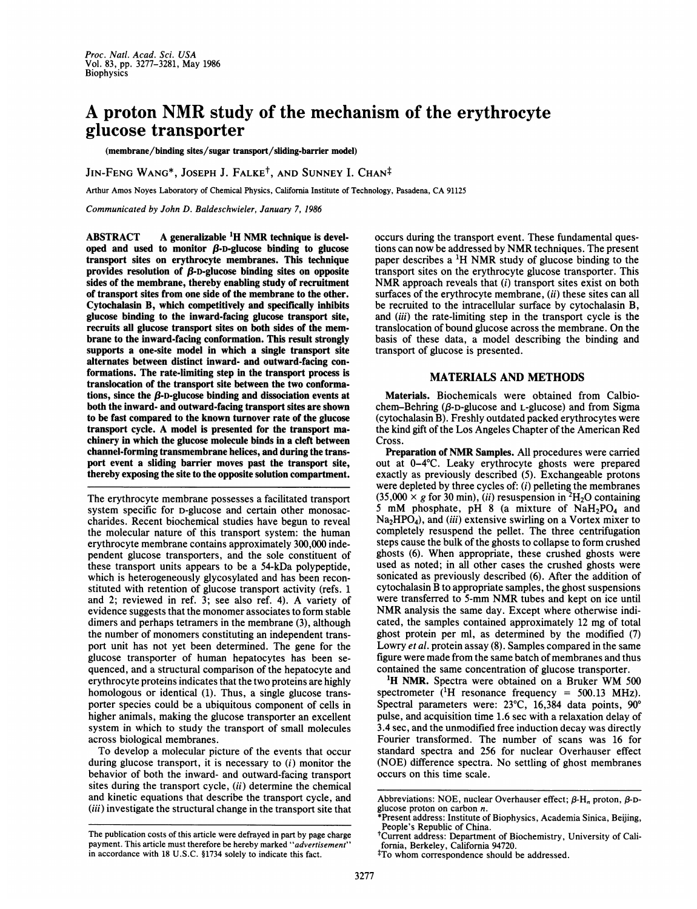# A proton NMR study of the mechanism of the erythrocyte glucose transporter

(membrane/binding sites/sugar transport/sliding-barrier model)

JIN-FENG WANG\*, JOSEPH J. FALKE<sup>†</sup>, AND SUNNEY I. CHAN<sup>‡</sup>

Arthur Amos Noyes Laboratory of Chemical Physics, California Institute of Technology, Pasadena, CA <sup>91125</sup>

Communicated by John D. Baldeschwieler, January 7, 1986

ABSTRACT  $\phantom{1}$  A generalizable <sup>1</sup>H NMR technique is developed and used to monitor  $\beta$ -D-glucose binding to glucose transport sites on erythrocyte membranes. This technique provides resolution of  $\beta$ -D-glucose binding sites on opposite sides of the membrane, thereby enabling study of recruitment of transport sites from one side of the membrane to the other. Cytochalasin B, which competitively and specifically inhibits glucose binding to the inward-facing glucose transport site, recruits all glucose transport sites on both sides of the membrane to the inward-facing conformation. This result strongly supports a one-site model in which a single transport site alternates between distinct inward- and outward-facing conformations. The rate-limiting step in the transport process is translocation of the transport site between the two conformations, since the  $\beta$ -D-glucose binding and dissociation events at both the inward- and outward-facing transport sites are shown to be fast compared to the known turnover rate of the glucose transport cycle. A model is presented for the transport machinery in which the glucose molecule binds in a cleft between channel-forming transmembrane helices, and during the transport event a sliding barrier moves past the transport site, thereby exposing the site to the opposite solution compartment.

The erythrocyte membrane possesses a facilitated transport system specific for D-glucose and certain other monosaccharides. Recent biochemical studies have begun to reveal the molecular nature of this transport system: the human erythrocyte membrane contains approximately 300,000 independent glucose transporters, and the sole constituent of these transport units appears to be a 54-kDa polypeptide, which is heterogeneously glycosylated and has been reconstituted with retention of glucose transport activity (refs. 1 and 2; reviewed in ref. 3; see also ref. 4). A variety of evidence suggests that the monomer associates to form stable dimers and perhaps tetramers in the membrane (3), although the number of monomers constituting an independent transport unit has not yet been determined. The gene for the glucose transporter of human hepatocytes has been sequenced, and a structural comparison of the hepatocyte and erythrocyte proteins indicates that the two proteins are highly homologous or identical (1). Thus, a single glucose transporter species could be a ubiquitous component of cells in higher animals, making the glucose transporter an excellent system in which to study the transport of small molecules across biological membranes.

To develop a molecular picture of the events that occur during glucose transport, it is necessary to (i) monitor the behavior of both the inward- and outward-facing transport sites during the transport cycle,  $(ii)$  determine the chemical and kinetic equations that describe the transport cycle, and (iii) investigate the structural change in the transport site that

The publication costs of this article were defrayed in part by page charge payment. This article must therefore be hereby marked "advertisement" in accordance with 18 U.S.C. §1734 solely to indicate this fact.

occurs during the transport event. These fundamental questions can now be addressed by NMR techniques. The present paper describes <sup>a</sup> 'H NMR study of glucose binding to the transport sites on the erythrocyte glucose transporter. This NMR approach reveals that  $(i)$  transport sites exist on both surfaces of the erythrocyte membrane, *(ii)* these sites can all be recruited to the intracellular surface by cytochalasin B, and *(iii)* the rate-limiting step in the transport cycle is the translocation of bound glucose across the membrane. On the basis of these data, a model describing the binding and transport of glucose is presented.

#### MATERIALS AND METHODS

Materials. Biochemicals were obtained from Calbiochem-Behring ( $\beta$ -D-glucose and L-glucose) and from Sigma (cytochalasin B). Freshly outdated packed erythrocytes were the kind gift of the Los Angeles Chapter of the American Red Cross.

Preparation of NMR Samples. All procedures were carried out at 0-4°C. Leaky erythrocyte ghosts were prepared exactly as previously described (5). Exchangeable protons were depleted by three cycles of: (i) pelleting the membranes  $(35,000 \times g$  for 30 min), (ii) resuspension in <sup>2</sup>H<sub>2</sub>O containing 5 mM phosphate, pH 8 (a mixture of  $NaH<sub>2</sub>PO<sub>4</sub>$  and Na<sub>2</sub>HPO<sub>4</sub>), and (iii) extensive swirling on a Vortex mixer to completely resuspend the pellet. The three centrifugation steps cause the bulk of the ghosts to collapse to form crushed ghosts (6). When appropriate, these crushed ghosts were used as noted; in all other cases the crushed ghosts were sonicated as previously described (6). After the addition of cytochalasin B to appropriate samples, the ghost suspensions were transferred to 5-mm NMR tubes and kept on ice until NMR analysis the same day. Except where otherwise indicated, the samples contained approximately 12 mg of total ghost protein per ml, as determined by the modified (7) Lowry et al. protein assay (8). Samples compared in the same figure were made from the same batch of membranes and thus contained the same concentration of glucose transporter.

<sup>1</sup>H NMR. Spectra were obtained on a Bruker WM 500 spectrometer  $(^1H$  resonance frequency = 500.13 MHz). Spectral parameters were:  $23^{\circ}$ C, 16,384 data points,  $90^{\circ}$ pulse, and acquisition time 1.6 sec with a relaxation delay of 3.4 sec, and the unmodified free induction decay was directly Fourier transformed. The number of scans was 16 for standard spectra and 256 for nuclear Overhauser effect (NOE) difference spectra. No settling of ghost membranes occurs on this time scale.

Abbreviations: NOE, nuclear Overhauser effect;  $\beta$ -H<sub>n</sub> proton,  $\beta$ -Dglucose proton on carbon n.

Present address: Institute of Biophysics, Academia Sinica, Beijing, People's Republic of China.

tCurrent address: Department of Biochemistry, University of California, Berkeley, California 94720.

tTo whom correspondence should be addressed.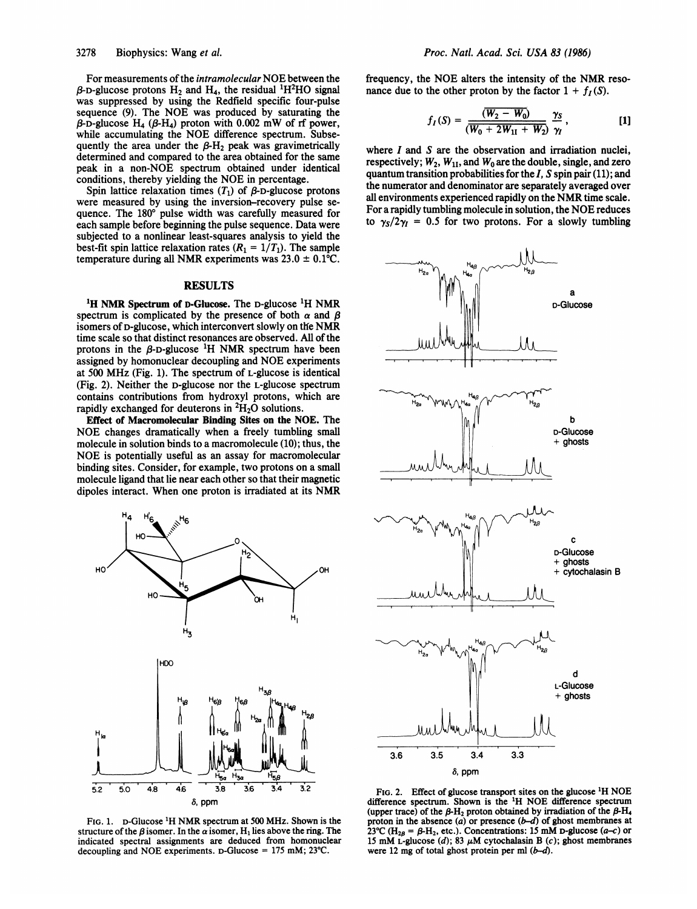For measurements of the intramolecular NOE between the  $\beta$ -D-glucose protons H<sub>2</sub> and H<sub>4</sub>, the residual <sup>1</sup>H<sup>2</sup>HO signal was suppressed by using the Redfield specific four-pulse sequence (9). The NOE was produced by saturating the  $\beta$ -D-glucose H<sub>4</sub> ( $\beta$ -H<sub>4</sub>) proton with 0.002 mW of rf power, while accumulating the NOE difference spectrum. Subsequently the area under the  $B-H<sub>2</sub>$  peak was gravimetrically determined and compared to the area obtained for the same peak in a non-NOE spectrum obtained under identical conditions, thereby yielding the NOE in percentage.

Spin lattice relaxation times  $(T_1)$  of  $\beta$ -D-glucose protons were measured by using the inversion-recovery pulse sequence. The 180° pulse width was carefully measured for each sample before beginning the pulse sequence. Data were subjected to a nonlinear least-squares analysis to yield the best-fit spin lattice relaxation rates  $(R_1 = 1/T_1)$ . The sample temperature during all NMR experiments was  $23.0 \pm 0.1^{\circ}C$ .

## RESULTS

<sup>1</sup>H NMR Spectrum of D-Glucose. The D-glucose <sup>1</sup>H NMR spectrum is complicated by the presence of both  $\alpha$  and  $\beta$ isomers of D-glucose, which interconvert slowly on the NMR time scale so that distinct resonances are observed. All of the protons in the  $\beta$ -D-glucose <sup>1</sup>H NMR spectrum have been assigned by homonuclear decoupling and NOE experiments at <sup>500</sup> MHz (Fig. 1). The spectrum of L-glucose is identical (Fig. 2). Neither the D-glucose nor the L-glucose spectrum contains contributions from hydroxyl protons, which are rapidly exchanged for deuterons in  ${}^{2}H_{2}O$  solutions.

Effect of Macromolecular Binding Sites on the NOE. The NOE changes dramatically when <sup>a</sup> freely tumbling small molecule in solution binds to a macromolecule (10); thus, the NOE is potentially useful as an assay for macromolecular binding sites. Consider, for example, two protons on a small molecule ligand that lie near each other so that their magnetic dipoles interact. When one proton is irradiated at its NMR



FIG. 1. D-Glucose 1H NMR spectrum at <sup>500</sup> MHz. Shown is the structure of the  $\beta$  isomer. In the  $\alpha$  isomer, H<sub>1</sub> lies above the ring. The indicated spectral assignments are deduced from homonuclear decoupling and NOE experiments. D-Glucose = <sup>175</sup> mM; 23'C.

frequency, the NOE alters the intensity of the NMR resonance due to the other proton by the factor  $1 + f_I(S)$ .

$$
f_I(S) = \frac{(\overline{W_2 - W_0})}{(\overline{W_0 + 2W_{11} + W_2})} \frac{\gamma_S}{\gamma_I}, \qquad [1]
$$

where  $I$  and  $S$  are the observation and irradiation nuclei, respectively;  $W_2$ ,  $W_{11}$ , and  $W_0$  are the double, single, and zero quantum transition probabilities for the  $I$ ,  $S$  spin pair (11); and the numerator and denominator are separately averaged over all environments experienced rapidly on the NMR time scale. For <sup>a</sup> rapidly tumbling molecule in solution, the NOE reduces to  $\gamma_s/2\gamma_l = 0.5$  for two protons. For a slowly tumbling



FIG. 2. Effect of glucose transport sites on the glucose <sup>1</sup>H NOE difference spectrum. Shown is the 1H NOE difference spectrum (upper trace) of the  $\beta$ -H<sub>2</sub> proton obtained by irradiation of the  $\beta$ -H<sub>4</sub> proton in the absence  $(a)$  or presence  $(b-d)$  of ghost membranes at 23°C (H<sub>28</sub> =  $\beta$ -H<sub>2</sub>, etc.). Concentrations: 15 mM D-glucose (a–c) or 15 mM L-glucose (d); 83  $\mu$ M cytochalasin B (c); ghost membranes were 12 mg of total ghost protein per ml  $(b-d)$ .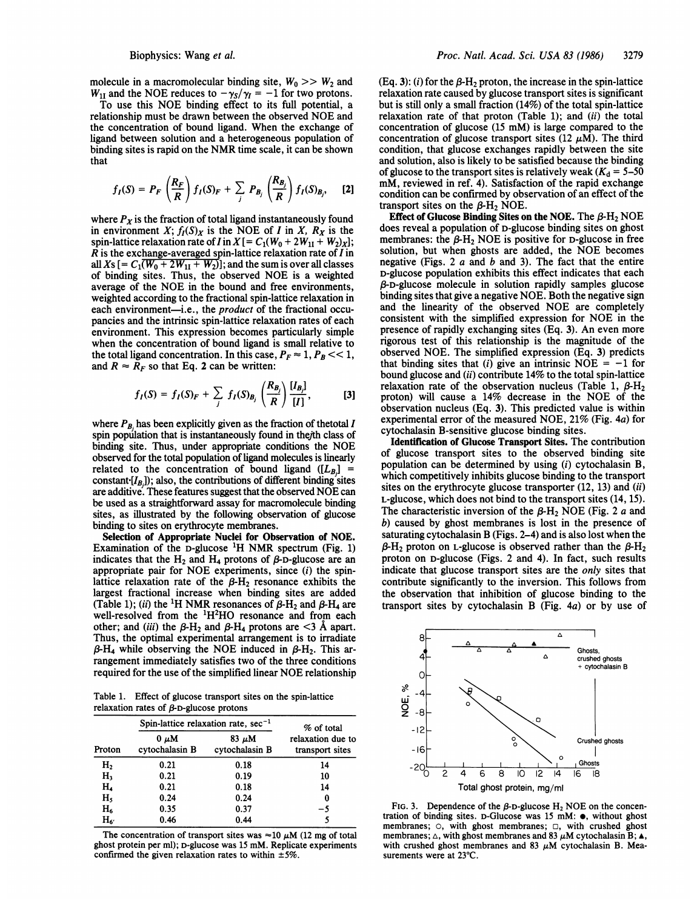### Biophysics: Wang et al.

molecule in a macromolecular binding site,  $W_0 \gg W_2$  and  $W_{11}$  and the NOE reduces to  $-\gamma_S/\gamma_I = -1$  for two protons.

To use this NOE binding effect to its full potential, <sup>a</sup> relationship must be drawn between the observed NOE and the concentration of bound ligand. When the exchange of ligand between solution and a heterogeneous population of binding sites is rapid on the NMR time scale, it can be shown that

$$
f_I(S) = P_F\left(\frac{R_F}{R}\right)f_I(S)_F + \sum_j P_{B_j}\left(\frac{R_{B_j}}{R}\right)f_I(S)_{B_j}, \quad [2]
$$

where  $P_X$  is the fraction of total ligand instantaneously found in environment X;  $f_I(S)_X$  is the NOE of I in X,  $R_X$  is the spin-lattice relaxation rate of I in  $X = C_1(W_0 + 2W_{11} + W_2)_X$ ;  $R$  is the exchange-averaged spin-lattice relaxation rate of  $I$  in all Xs [=  $C_1(W_0 + 2W_{1I} + W_2)$ ]; and the sum is over all classes of binding sites. Thus, the observed NOE is <sup>a</sup> weighted average of the NOE in the bound and free environments, weighted according to the fractional spin-lattice relaxation in each environment-i.e., the *product* of the fractional occupancies and the intrinsic spin-lattice relaxation rates of each environment. This expression becomes particularly simple when the concentration of bound ligand is small relative to the total ligand concentration. In this case,  $P_F \approx 1, P_B \ll 1$ , and  $R \approx R_F$  so that Eq. 2 can be written:

$$
f_I(S) = f_I(S)_F + \sum_j f_I(S)_{B_j} \left( \frac{R_{B_j}}{R} \right) \frac{[I_{B_j}]}{[I]},
$$
 [3]

where  $P_B$  has been explicitly given as the fraction of thetotal I spin population that is instantaneously found in thejth class of binding site. Thus, under appropriate conditions the NOE observed for the total population of ligand molecules is linearly related to the concentration of bound ligand  $([L_B]$  = constant  $[I_B]$ ); also, the contributions of different binding sites are additive. These features suggest that the observed NOE can be used as a straightforward assay for macromolecule binding sites, as illustrated by the following observation of glucose binding to sites on erythrocyte membranes.

Selection of Appropriate Nuclei for Observation of NOE. Examination of the D-glucose  $^1$ H NMR spectrum (Fig. 1) indicates that the  $H_2$  and  $H_4$  protons of  $\beta$ -D-glucose are an appropriate pair for NOE experiments, since (i) the spinlattice relaxation rate of the  $\beta$ -H<sub>2</sub> resonance exhibits the largest fractional increase when binding sites are added (Table 1); (ii) the <sup>1</sup>H NMR resonances of  $\beta$ -H<sub>2</sub> and  $\beta$ -H<sub>4</sub> are well-resolved from the <sup>1</sup>H<sup>2</sup>HO resonance and from each other; and (iii) the  $\beta$ -H<sub>2</sub> and  $\beta$ -H<sub>4</sub> protons are <3  $\AA$  apart. Thus, the optimal experimental arrangement is to irradiate  $\beta$ -H<sub>4</sub> while observing the NOE induced in  $\beta$ -H<sub>2</sub>. This arrangement immediately satisfies two of the three conditions required for the use of the simplified linear NOE relationship

Table 1. Effect of glucose transport sites on the spin-lattice relaxation rates of  $\beta$ -D-glucose protons

| Proton         | Spin-lattice relaxation rate, $sec^{-1}$ |                              | % of total                           |
|----------------|------------------------------------------|------------------------------|--------------------------------------|
|                | $0 \mu M$<br>cytochalasin B              | $83 \mu M$<br>cytochalasin B | relaxation due to<br>transport sites |
| H <sub>2</sub> | 0.21                                     | 0.18                         | 14                                   |
| H٠             | 0.21                                     | 0.19                         | 10                                   |
| $\mathbf{H}_4$ | 0.21                                     | 0.18                         | 14                                   |
| H,             | 0.24                                     | 0.24                         | 0                                    |
| $H_6$          | 0.35                                     | 0.37                         | -5                                   |
| $H_{6'}$       | 0.46                                     | 0.44                         |                                      |

The concentration of transport sites was  $\approx$  10  $\mu$ M (12 mg of total ghost protein per ml); D-glucose was <sup>15</sup> mM. Replicate experiments confirmed the given relaxation rates to within  $\pm 5\%$ .

(Eq. 3): (i) for the  $\beta$ -H<sub>2</sub> proton, the increase in the spin-lattice relaxation rate caused by glucose transport sites is significant but is still only a small fraction (14%) of the total spin-lattice relaxation rate of that proton (Table 1); and  $(ii)$  the total concentration of glucose (15 mM) is large compared to the concentration of glucose transport sites (12  $\mu$ M). The third condition, that glucose exchanges rapidly between the site and solution, also is likely to be satisfied because the binding of glucose to the transport sites is relatively weak ( $K_d = 5-50$ mM, reviewed in ref. 4). Satisfaction of the rapid exchange condition can be confirmed by observation of an effect of the transport sites on the  $\beta$ -H<sub>2</sub> NOE.

Effect of Glucose Binding Sites on the NOE. The  $\beta$ -H<sub>2</sub> NOE does reveal a population of D-glucose binding sites on ghost membranes: the  $\beta$ -H<sub>2</sub> NOE is positive for D-glucose in free solution, but when ghosts are added, the NOE becomes negative (Figs. 2  $a$  and  $b$  and 3). The fact that the entire D-glucose population exhibits this effect indicates that each ,B-D-glucose molecule in solution rapidly samples glucose binding sites that give a negative NOE. Both the negative sign and the linearity of the observed NOE are completely consistent with the simplified expression for NOE in the presence of rapidly exchanging sites (Eq. 3). An even more rigorous test of this relationship is the magnitude of the observed NOE. The simplified expression (Eq. 3) predicts that binding sites that (i) give an intrinsic NOE =  $-1$  for bound glucose and (ii) contribute 14% to the total spin-lattice relaxation rate of the observation nucleus (Table 1,  $\beta$ -H<sub>2</sub> proton) will cause <sup>a</sup> 14% decrease in the NOE of the observation nucleus (Eq. 3). This predicted value is within experimental error of the measured NOE, 21% (Fig. 4a) for cytochalasin B-sensitive glucose binding sites.

Identification of Glucose Transport Sites. The contribution of glucose transport sites to the observed binding site population can be determined by using (i) cytochalasin B, which competitively inhibits glucose binding to the transport sites on the erythrocyte glucose transporter (12, 13) and (ii) L-glucose, which does not bind to the transport sites (14, 15). The characteristic inversion of the  $\beta$ -H<sub>2</sub> NOE (Fig. 2 a and b) caused by ghost membranes is lost in the presence of saturating cytochalasin B (Figs. 2-4) and is also lost when the  $\beta$ -H<sub>2</sub> proton on L-glucose is observed rather than the  $\beta$ -H<sub>2</sub> proton on D-glucose (Figs. 2 and 4). In fact, such results indicate that glucose transport sites are the only sites that contribute significantly to the inversion. This follows from the observation that inhibition of glucose binding to the transport sites by cytochalasin B (Fig. 4a) or by use of



FIG. 3. Dependence of the  $\beta$ -D-glucose H<sub>2</sub> NOE on the concentration of binding sites. D-Glucose was 15 mM:  $\bullet$ , without ghost membranes;  $\circ$ , with ghost membranes;  $\circ$ , with crushed ghost membranes;  $\triangle$ , with ghost membranes and 83  $\mu$ M cytochalasin B;  $\triangle$ , with crushed ghost membranes and 83  $\mu$ M cytochalasin B. Measurements were at  $23^{\circ}$ C.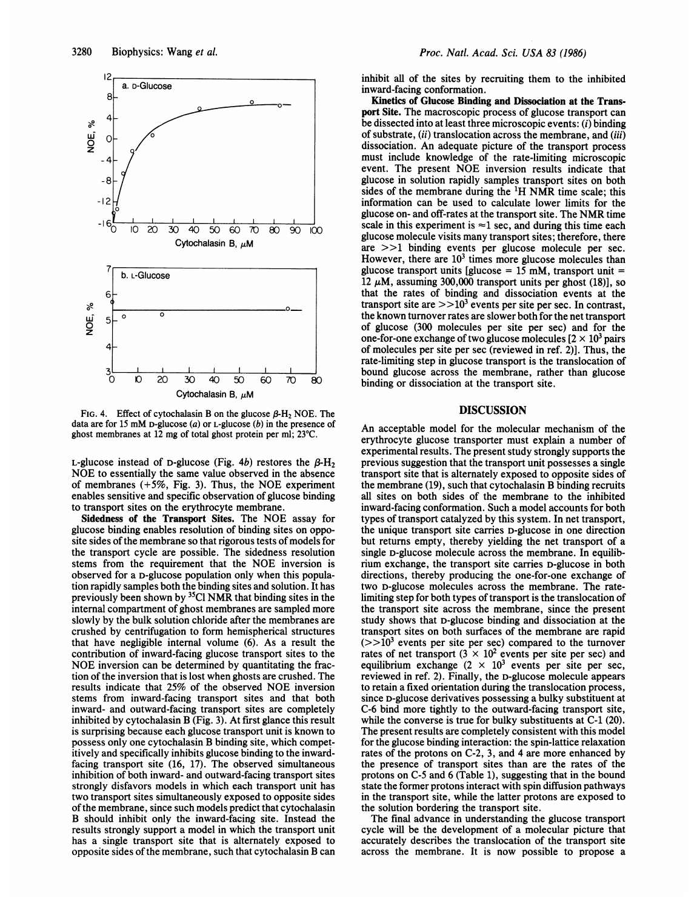

FIG. 4. Effect of cytochalasin B on the glucose  $\beta$ -H<sub>2</sub> NOE. The data are for 15 mM D-glucose  $(a)$  or L-glucose  $(b)$  in the presence of ghost membranes at  $12 \text{ mg}$  of total ghost protein per ml;  $23^{\circ}\text{C}$ .

L-glucose instead of D-glucose (Fig. 4b) restores the  $\beta$ -H<sub>2</sub> NOE to essentially the same value observed in the absence of membranes  $(+5\%,$  Fig. 3). Thus, the NOE experiment enables sensitive and specific observation of glucose binding to transport sites on the erythrocyte membrane.

Sidedness of the Transport Sites. The NOE assay for glucose binding enables resolution of binding sites on opposite sides of the membrane so that rigorous tests of models for the transport cycle are possible. The sidedness resolution stems from the requirement that the NOE inversion is observed for a D-glucose population only when this population rapidly samples both the binding sites and solution. It has previously been shown by 35CI NMR that binding sites in the internal compartment of ghost membranes are sampled more slowly by the bulk solution chloride after the membranes are crushed by centrifugation to form hemispherical structures that have negligible internal volume (6). As a result the contribution of inward-facing glucose transport sites to the NOE inversion can be determined by quantitating the fraction of the inversion that is lost when ghosts are crushed. The results indicate that 25% of the observed NOE inversion stems from inward-facing transport sites and that both inward- and outward-facing transport sites are completely inhibited by cytochalasin B (Fig. 3). At first glance this result is surprising because each glucose transport unit is known to possess only one cytochalasin B binding site, which competitively and specifically inhibits glucose binding to the inwardfacing transport site (16, 17). The observed simultaneous inhibition of both inward- and outward-facing transport sites strongly disfavors models in which each transport unit has two transport sites simultaneously exposed to opposite sides of the membrane, since such models predict that cytochalasin B should inhibit only the inward-facing site. Instead the results strongly support a model in which the transport unit has a single transport site that is alternately exposed to opposite sides of the membrane, such that cytochalasin B can inhibit all of the sites by recruiting them to the inhibited inward-facing conformation.

Kinetics of Glucose Binding and Dissociation at the Transport Site. The macroscopic process of glucose transport can be dissected into at least three microscopic events: (i) binding of substrate, (ii) translocation across the membrane, and (iii) dissociation. An adequate picture of the transport process must include knowledge of the rate-limiting microscopic event. The present NOE inversion results indicate that glucose in solution rapidly samples transport sites on both sides of the membrane during the  ${}^{1}H$  NMR time scale; this information can be used to calculate lower limits for the glucose on- and off-rates at the transport site. The NMR time scale in this experiment is  $\approx$ 1 sec, and during this time each glucose molecule visits many transport sites; therefore, there are >>1 binding events per glucose molecule per sec. However, there are  $10<sup>3</sup>$  times more glucose molecules than glucose transport units [glucose =  $15 \text{ mM}$ , transport unit = 12  $\mu$ M, assuming 300,000 transport units per ghost (18)], so that the rates of binding and dissociation events at the transport site are  $>>10<sup>3</sup>$  events per site per sec. In contrast, the known turnover rates are slower both for the net transport of glucose (300 molecules per site per sec) and for the one-for-one exchange of two glucose molecules  $[2 \times 10^3]$  pairs of molecules per site per sec (reviewed in ref. 2)]. Thus, the rate-limiting step in glucose transport is the translocation of bound glucose across the membrane, rather than glucose binding or dissociation at the transport site.

# DISCUSSION

An acceptable model for the molecular mechanism of the erythrocyte glucose transporter must explain a number of experimental results. The present study strongly supports the previous suggestion that the transport unit possesses a single transport site that is alternately exposed to opposite sides of the membrane (19), such that cytochalasin B binding recruits all sites on both sides of the membrane to the inhibited inward-facing conformation. Such a model accounts for both types of transport catalyzed by this system. In net transport, the unique transport site carries D-glucose in one direction but returns empty, thereby yielding the net transport of a single D-glucose molecule across the membrane. In equilibrium exchange, the transport site carries D-glucose in both directions, thereby producing the one-for-one exchange of two D-glucose molecules across the membrane. The ratelimiting step for both types of transport is the translocation of the transport site across the membrane, since the present study shows that D-glucose binding and dissociation at the transport sites on both surfaces of the membrane are rapid  $(>>10<sup>3</sup>$  events per site per sec) compared to the turnover rates of net transport  $(3 \times 10^2$  events per site per sec) and equilibrium exchange  $(2 \times 10^3$  events per site per sec, reviewed in ref. 2). Finally, the D-glucose molecule appears to retain a fixed orientation during the translocation process, since D-glucose derivatives possessing a bulky substituent at C-6 bind more tightly to the outward-facing transport site, while the converse is true for bulky substituents at C-1 (20). The present results are completely consistent with this model for the glucose binding interaction: the spin-lattice relaxation rates of the protons on C-2, 3, and 4 are more enhanced by the presence of transport sites than are the rates of the protons on C-5 and 6 (Table 1), suggesting that in the bound state the former protons interact with spin diffusion pathways in the transport site, while the latter protons are exposed to the solution bordering the transport site.

The final advance in understanding the glucose transport cycle will be the development of a molecular picture that accurately describes the translocation of the transport site across the membrane. It is now possible to propose <sup>a</sup>